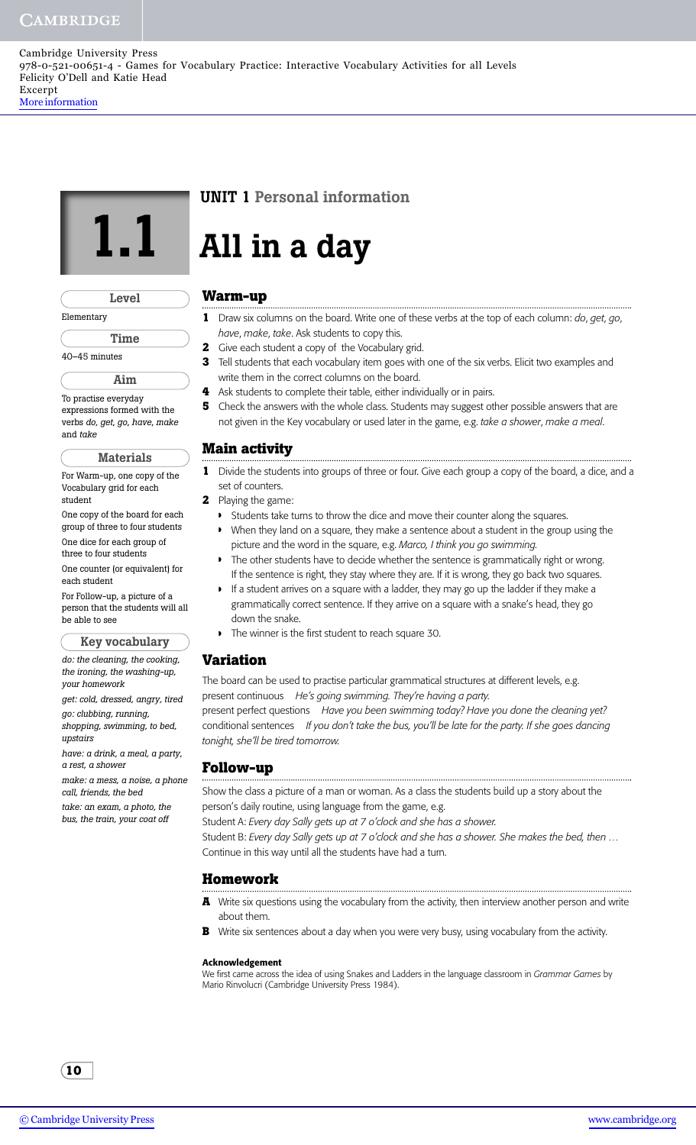Cambridge University Press 978-0-521-00651-4 - Games for Vocabulary Practice: Interactive Vocabulary Activities for all Levels Felicity O'Dell and Katie Head Excerpt [More information](http://www.cambridge.org/0521006511)

|               | Level |  |  |
|---------------|-------|--|--|
| Elementary    |       |  |  |
| Time          |       |  |  |
| 40-45 minutes |       |  |  |

**Aim**

To practise everyday expressions formed with the verbs *do*, *get*, *go*, *have*, *make* and *take*

#### **Materials**

For Warm-up, one copy of the Vocabulary grid for each student

One copy of the board for each group of three to four students One dice for each group of

three to four students

One counter (or equivalent) for each student

For Follow-up, a picture of a person that the students will all be able to see

**Key vocabulary**

*do: the cleaning, the cooking, the ironing, the washing-up, your homework*

*get: cold, dressed, angry, tired go: clubbing, running,*

*shopping, swimming, to bed, upstairs*

*have: a drink, a meal, a party, a rest, a shower*

*make: a mess, a noise, a phone call, friends, the bed*

*take: an exam, a photo, the bus, the train, your coat off*

# **UNIT 1 Personal information**

# **1.1 All in a day**

## **Warm-up**

- **1** Draw six columns on the board. Write one of these verbs at the top of each column: *do*, *get*, *go*, *have*, *make*, *take*. Ask students to copy this.
- **2** Give each student a copy of the Vocabulary grid.
- **3** Tell students that each vocabulary item goes with one of the six verbs. Elicit two examples and write them in the correct columns on the board.
- **4** Ask students to complete their table, either individually or in pairs.
- **5** Check the answers with the whole class. Students may suggest other possible answers that are not given in the Key vocabulary or used later in the game, e.g. *take a shower*, *make a meal*.

## **Main activity**

- **1** Divide the students into groups of three or four. Give each group a copy of the board, a dice, and a set of counters.
- **2** Playing the game:
	- ◗ Students take turns to throw the dice and move their counter along the squares.
	- ◗ When they land on a square, they make a sentence about a student in the group using the picture and the word in the square, e.g. *Marco, I think you go swimming.*
	- ◗ The other students have to decide whether the sentence is grammatically right or wrong. If the sentence is right, they stay where they are. If it is wrong, they go back two squares.
	- If a student arrives on a square with a ladder, they may go up the ladder if they make a grammatically correct sentence. If they arrive on a square with a snake's head, they go down the snake.
	- The winner is the first student to reach square 30.

## **Variation**

The board can be used to practise particular grammatical structures at different levels, e.g. present continuous *He's going swimming. They're having a party.* present perfect questions *Have you been swimming today? Have you done the cleaning yet?* conditional sentences *If you don't take the bus, you'll be late for the party. If she goes dancing*

# **Follow-up**

*tonight, she'll be tired tomorrow.*

Show the class a picture of a man or woman. As a class the students build up a story about the person's daily routine, using language from the game, e.g.

Student A: *Every day Sally gets up at 7 o'clock and she has a shower.*

Student B: *Every day Sally gets up at 7 o'clock and she has a shower. She makes the bed, then …* Continue in this way until all the students have had a turn.

#### **Homework**

- **A** Write six questions using the vocabulary from the activity, then interview another person and write about them.
- **B** Write six sentences about a day when you were very busy, using vocabulary from the activity.

#### **Acknowledgement**

We first came across the idea of using Snakes and Ladders in the language classroom in *Grammar Games* by Mario Rinvolucri (Cambridge University Press 1984).

**10**